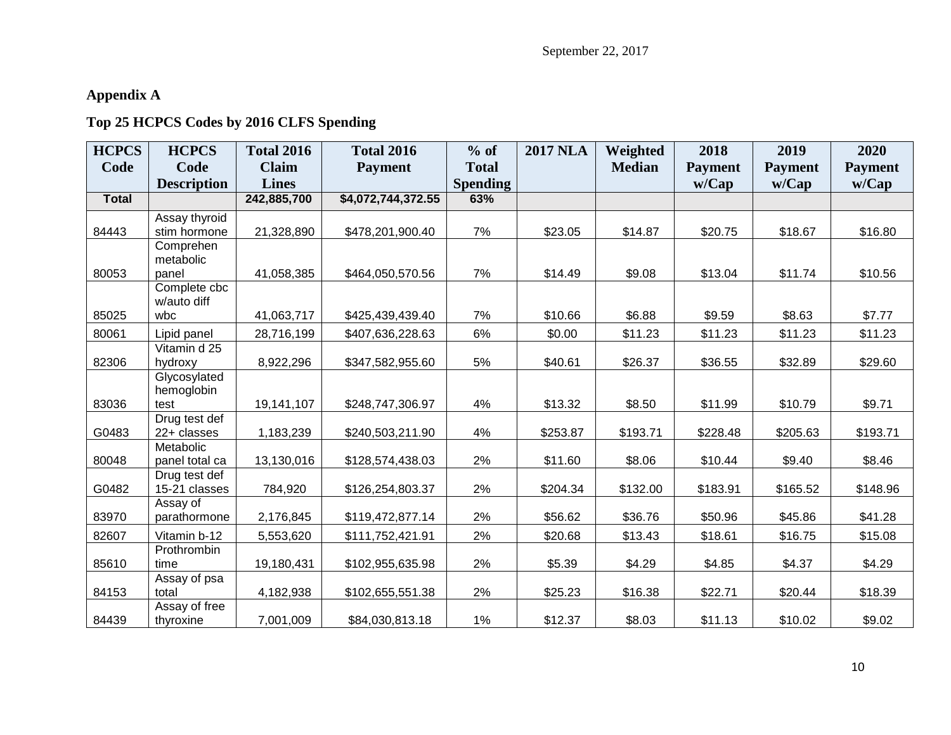## **Appendix A**

## **Top 25 HCPCS Codes by 2016 CLFS Spending**

| <b>HCPCS</b> | <b>HCPCS</b>             | <b>Total 2016</b> | <b>Total 2016</b>  | $%$ of          | <b>2017 NLA</b> | Weighted      | 2018           | 2019           | 2020           |
|--------------|--------------------------|-------------------|--------------------|-----------------|-----------------|---------------|----------------|----------------|----------------|
| Code         | Code                     | <b>Claim</b>      | <b>Payment</b>     | <b>Total</b>    |                 | <b>Median</b> | <b>Payment</b> | <b>Payment</b> | <b>Payment</b> |
|              | <b>Description</b>       | <b>Lines</b>      |                    | <b>Spending</b> |                 |               | w/Cap          | w/Cap          | w/Cap          |
| <b>Total</b> |                          | 242,885,700       | \$4,072,744,372.55 | 63%             |                 |               |                |                |                |
|              | Assay thyroid            |                   |                    |                 |                 |               |                |                |                |
| 84443        | stim hormone             | 21,328,890        | \$478,201,900.40   | 7%              | \$23.05         | \$14.87       | \$20.75        | \$18.67        | \$16.80        |
|              | Comprehen                |                   |                    |                 |                 |               |                |                |                |
| 80053        | metabolic<br>panel       | 41,058,385        | \$464,050,570.56   | 7%              | \$14.49         | \$9.08        | \$13.04        | \$11.74        | \$10.56        |
|              | Complete cbc             |                   |                    |                 |                 |               |                |                |                |
|              | w/auto diff              |                   |                    |                 |                 |               |                |                |                |
| 85025        | wbc                      | 41,063,717        | \$425,439,439.40   | 7%              | \$10.66         | \$6.88        | \$9.59         | \$8.63         | \$7.77         |
| 80061        | Lipid panel              | 28,716,199        | \$407,636,228.63   | 6%              | \$0.00          | \$11.23       | \$11.23        | \$11.23        | \$11.23        |
|              | Vitamin d 25             |                   |                    |                 |                 |               |                |                |                |
| 82306        | hydroxy                  | 8,922,296         | \$347,582,955.60   | 5%              | \$40.61         | \$26.37       | \$36.55        | \$32.89        | \$29.60        |
|              | Glycosylated             |                   |                    |                 |                 |               |                |                |                |
| 83036        | hemoglobin<br>test       | 19,141,107        | \$248,747,306.97   | 4%              | \$13.32         | \$8.50        | \$11.99        | \$10.79        | \$9.71         |
|              | Drug test def            |                   |                    |                 |                 |               |                |                |                |
| G0483        | 22+ classes              | 1,183,239         | \$240,503,211.90   | 4%              | \$253.87        | \$193.71      | \$228.48       | \$205.63       | \$193.71       |
|              | Metabolic                |                   |                    |                 |                 |               |                |                |                |
| 80048        | panel total ca           | 13,130,016        | \$128,574,438.03   | 2%              | \$11.60         | \$8.06        | \$10.44        | \$9.40         | \$8.46         |
|              | Drug test def            |                   |                    |                 |                 |               |                |                |                |
| G0482        | 15-21 classes            | 784,920           | \$126,254,803.37   | 2%              | \$204.34        | \$132.00      | \$183.91       | \$165.52       | \$148.96       |
| 83970        | Assay of<br>parathormone | 2,176,845         | \$119,472,877.14   | 2%              | \$56.62         | \$36.76       | \$50.96        | \$45.86        | \$41.28        |
|              |                          |                   |                    |                 |                 |               |                |                |                |
| 82607        | Vitamin b-12             | 5,553,620         | \$111,752,421.91   | 2%              | \$20.68         | \$13.43       | \$18.61        | \$16.75        | \$15.08        |
| 85610        | Prothrombin<br>time      | 19,180,431        | \$102,955,635.98   | 2%              | \$5.39          | \$4.29        | \$4.85         | \$4.37         | \$4.29         |
|              | Assay of psa             |                   |                    |                 |                 |               |                |                |                |
| 84153        | total                    | 4,182,938         | \$102,655,551.38   | 2%              | \$25.23         | \$16.38       | \$22.71        | \$20.44        | \$18.39        |
|              | Assay of free            |                   |                    |                 |                 |               |                |                |                |
| 84439        | thyroxine                | 7,001,009         | \$84,030,813.18    | 1%              | \$12.37         | \$8.03        | \$11.13        | \$10.02        | \$9.02         |